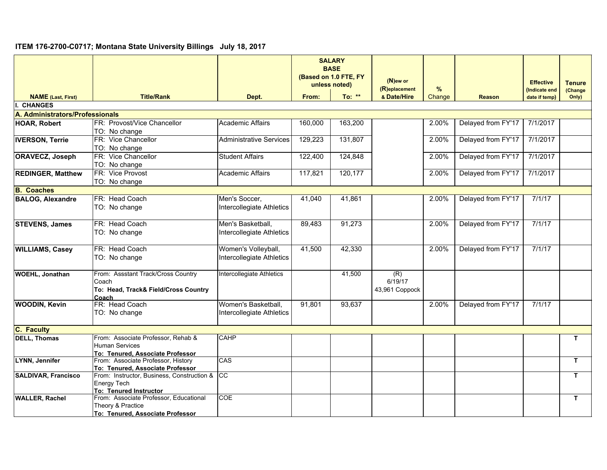## **ITEM 176-2700-C0717; Montana State University Billings July 18, 2017**

|                                 |                                                                                     |                                            | <b>SALARY</b><br><b>BASE</b><br>(Based on 1.0 FTE, FY<br>unless noted) |         | (N)ew or<br>(R)eplacement        | %      |                    | <b>Effective</b><br>Indicate end | <b>Tenure</b><br>(Change |
|---------------------------------|-------------------------------------------------------------------------------------|--------------------------------------------|------------------------------------------------------------------------|---------|----------------------------------|--------|--------------------|----------------------------------|--------------------------|
| <b>NAME</b> (Last, First)       | <b>Title/Rank</b>                                                                   | Dept.                                      | From:                                                                  | To: **  | & Date/Hire                      | Change | <b>Reason</b>      | date if temp)                    | Only)                    |
| <b>CHANGES</b>                  |                                                                                     |                                            |                                                                        |         |                                  |        |                    |                                  |                          |
| A. Administrators/Professionals |                                                                                     |                                            |                                                                        |         |                                  |        |                    |                                  |                          |
| <b>HOAR, Robert</b>             | FR: Provost/Vice Chancellor                                                         | <b>Academic Affairs</b>                    | 160,000                                                                | 163,200 |                                  | 2.00%  | Delayed from FY'17 | 7/1/2017                         |                          |
|                                 | TO: No change                                                                       |                                            |                                                                        |         |                                  |        |                    |                                  |                          |
| <b>IVERSON, Terrie</b>          | FR: Vice Chancellor                                                                 | Administrative Services                    | 129,223                                                                | 131,807 |                                  | 2.00%  | Delayed from FY'17 | 7/1/2017                         |                          |
|                                 | TO: No change                                                                       |                                            |                                                                        |         |                                  |        |                    |                                  |                          |
| <b>ORAVECZ, Joseph</b>          | FR: Vice Chancellor                                                                 | <b>Student Affairs</b>                     | 122,400                                                                | 124,848 |                                  | 2.00%  | Delayed from FY'17 | 7/1/2017                         |                          |
|                                 | TO: No change                                                                       |                                            |                                                                        |         |                                  |        |                    |                                  |                          |
| <b>REDINGER, Matthew</b>        | FR: Vice Provost                                                                    | Academic Affairs                           | 117,821                                                                | 120,177 |                                  | 2.00%  | Delayed from FY'17 | 7/1/2017                         |                          |
|                                 | TO: No change                                                                       |                                            |                                                                        |         |                                  |        |                    |                                  |                          |
| <b>B.</b> Coaches               |                                                                                     |                                            |                                                                        |         |                                  |        |                    |                                  |                          |
| <b>BALOG, Alexandre</b>         | FR: Head Coach<br>TO: No change                                                     | Men's Soccer,<br>Intercollegiate Athletics | 41,040                                                                 | 41,861  |                                  | 2.00%  | Delayed from FY'17 | 7/1/17                           |                          |
|                                 | FR: Head Coach                                                                      | Men's Basketball,                          | 89,483                                                                 | 91,273  |                                  |        | Delayed from FY'17 | 7/1/17                           |                          |
| <b>STEVENS, James</b>           | TO: No change                                                                       | Intercollegiate Athletics                  |                                                                        |         |                                  | 2.00%  |                    |                                  |                          |
| <b>WILLIAMS, Casey</b>          | FR: Head Coach                                                                      | Women's Volleyball,                        | 41,500                                                                 | 42,330  |                                  | 2.00%  | Delayed from FY'17 | 7/1/17                           |                          |
|                                 | TO: No change                                                                       | Intercollegiate Athletics                  |                                                                        |         |                                  |        |                    |                                  |                          |
| <b>WOEHL, Jonathan</b>          | From: Assstant Track/Cross Country<br>Coach<br>To: Head, Track& Field/Cross Country | Intercollegiate Athletics                  |                                                                        | 41,500  | (R)<br>6/19/17<br>43,961 Coppock |        |                    |                                  |                          |
| <b>WOODIN, Kevin</b>            | Coach<br>FR: Head Coach                                                             | Women's Basketball,                        | 91,801                                                                 | 93,637  |                                  | 2.00%  | Delayed from FY'17 | 7/1/17                           |                          |
|                                 | TO: No change                                                                       | Intercollegiate Athletics                  |                                                                        |         |                                  |        |                    |                                  |                          |
| <b>C. Faculty</b>               |                                                                                     |                                            |                                                                        |         |                                  |        |                    |                                  |                          |
| <b>DELL, Thomas</b>             | From: Associate Professor, Rehab &                                                  | <b>CAHP</b>                                |                                                                        |         |                                  |        |                    |                                  | T.                       |
|                                 | <b>Human Services</b>                                                               |                                            |                                                                        |         |                                  |        |                    |                                  |                          |
|                                 | To: Tenured, Associate Professor                                                    |                                            |                                                                        |         |                                  |        |                    |                                  |                          |
| LYNN, Jennifer                  | From: Associate Professor, History                                                  | CAS                                        |                                                                        |         |                                  |        |                    |                                  | T.                       |
|                                 | To: Tenured, Associate Professor                                                    |                                            |                                                                        |         |                                  |        |                    |                                  |                          |
| <b>SALDIVAR, Francisco</b>      | From: Instructor, Business, Construction & CC                                       |                                            |                                                                        |         |                                  |        |                    |                                  | T.                       |
|                                 | <b>Energy Tech</b>                                                                  |                                            |                                                                        |         |                                  |        |                    |                                  |                          |
| <b>WALLER, Rachel</b>           | To: Tenured Instructor<br>From: Associate Professor, Educational                    | COE                                        |                                                                        |         |                                  |        |                    |                                  | $\mathbf{T}$             |
|                                 | Theory & Practice                                                                   |                                            |                                                                        |         |                                  |        |                    |                                  |                          |
|                                 | To: Tenured, Associate Professor                                                    |                                            |                                                                        |         |                                  |        |                    |                                  |                          |